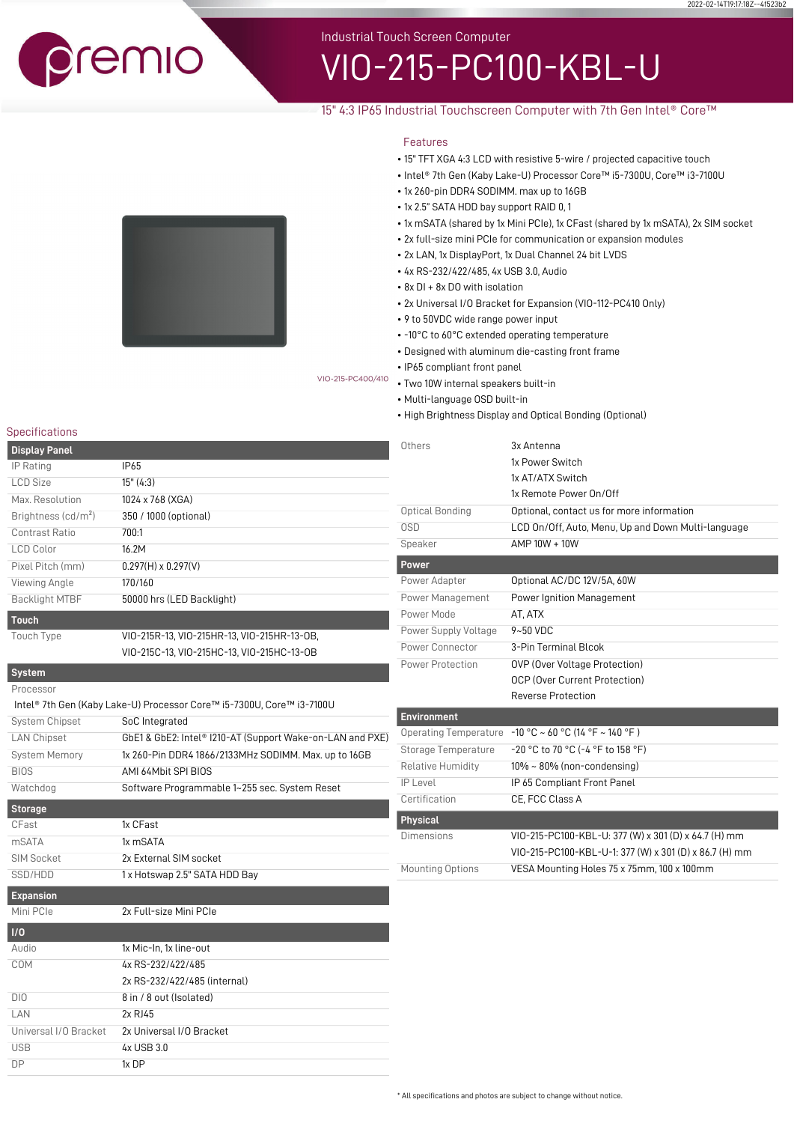remio

Industrial Touch Screen Computer

# VIO-215-PC100-KBL-U

# 15" 4:3 IP65 Industrial Touchscreen Computer with 7th Gen Intel® Core™

# Features

- 15" TFT XGA 4:3 LCD with resistive 5-wire / projected capacitive touch
- Intel® 7th Gen (Kaby Lake-U) Processor Core™ i5-7300U, Core™ i3-7100U
- 1x 260-pin DDR4 SODIMM. max up to 16GB
- 1x 2.5" SATA HDD bay support RAID 0, 1
- 1x mSATA (shared by 1x Mini PCIe), 1x CFast (shared by 1x mSATA), 2x SIM socket

2022-02-14T19:17:18Z--4f523b2

- 2x full-size mini PCIe for communication or expansion modules
- 2x LAN, 1x DisplayPort, 1x Dual Channel 24 bit LVDS
- 4x RS-232/422/485, 4x USB 3.0, Audio
- 8x DI + 8x DO with isolation
- 2x Universal I/O Bracket for Expansion (VIO-112-PC410 Only)
- 9 to 50VDC wide range power input
- -10°C to 60°C extended operating temperature
- Designed with aluminum die-casting front frame
- IP65 compliant front panel vio-215-PC400/410 • Two 10W internal speakers built-in

- Multi-language OSD built-in
- High Brightness Display and Optical Bonding (Optional)

# Specifications

| <b>Display Panel</b>  |                            |
|-----------------------|----------------------------|
| IP Rating             | IP65                       |
| <b>LCD Size</b>       | 15" (4:3)                  |
| Max. Resolution       | 1024 x 768 (XGA)           |
| Brightness $(cd/m2)$  | 350 / 1000 (optional)      |
| Contrast Ratio        | 700:1                      |
| <b>LCD Color</b>      | 16.2M                      |
| Pixel Pitch (mm)      | $0.297(H) \times 0.297(V)$ |
| Viewing Angle         | 170/160                    |
| <b>Backlight MTBF</b> | 50000 hrs (LED Backlight)  |
| <b>Touch</b>          |                            |

Touch Type VIO-215R-13, VIO-215HR-13, VIO-215HR-13-OB, VIO-215C-13, VIO-215HC-13, VIO-215HC-13-OB

# **System**

| Processor             |                                                                       |
|-----------------------|-----------------------------------------------------------------------|
|                       | Intel® 7th Gen (Kaby Lake-U) Processor Core™ i5-7300U, Core™ i3-7100U |
| <b>System Chipset</b> | SoC Integrated                                                        |
| <b>LAN Chipset</b>    | GbE1 & GbE2: Intel® I210-AT (Support Wake-on-LAN and PXE)             |
| <b>System Memory</b>  | 1x 260-Pin DDR4 1866/2133MHz SODIMM. Max. up to 16GB                  |
| <b>BIOS</b>           | AMI 64Mbit SPI BIOS                                                   |
| Watchdog              | Software Programmable 1~255 sec. System Reset                         |
| <b>Storage</b>        |                                                                       |
| CFast                 | 1x CFast                                                              |
| <b>mSATA</b>          | 1x mSATA                                                              |
| <b>SIM Socket</b>     | 2x External SIM socket                                                |
| SSD/HDD               | 1 x Hotswap 2.5" SATA HDD Bay                                         |
| <b>Expansion</b>      |                                                                       |
| Mini PCIe             | 2x Full-size Mini PCIe                                                |
| 1/0                   |                                                                       |
| <b>Audio</b>          | 1x Mic-In. 1x line-out                                                |
| COM                   | 4x RS-232/422/485                                                     |
|                       | 2x RS-232/422/485 (internal)                                          |
| DIO                   | 8 in / 8 out (Isolated)                                               |
| LAN                   | 2x RJ45                                                               |
| Universal I/O Bracket | 2x Universal I/O Bracket                                              |
| <b>USB</b>            | 4x USB 3.0                                                            |
| <b>DP</b>             | 1x DP                                                                 |

| Others                       | 3x Antenna                                             |
|------------------------------|--------------------------------------------------------|
|                              | 1x Power Switch                                        |
|                              | 1x AT/ATX Switch                                       |
|                              | 1x Remote Power On/Off                                 |
| Optical Bonding              | Optional, contact us for more information              |
| 0SD                          | LCD On/Off, Auto, Menu, Up and Down Multi-language     |
| Speaker                      | AMP 10W + 10W                                          |
| <b>Power</b>                 |                                                        |
| Power Adapter                | Optional AC/DC 12V/5A, 60W                             |
| Power Management             | <b>Power Ignition Management</b>                       |
| Power Mode                   | AT, ATX                                                |
| Power Supply Voltage         | $9 - 50$ VDC                                           |
| Power Connector              | 3-Pin Terminal Blcok                                   |
| Power Protection             | OVP (Over Voltage Protection)                          |
|                              | OCP (Over Current Protection)                          |
|                              | Reverse Protection                                     |
| <b>Environment</b>           |                                                        |
| <b>Operating Temperature</b> | $-10$ °C ~ 60 °C (14 °F ~ 140 °F)                      |
| Storage Temperature          | -20 °C to 70 °C (-4 °F to 158 °F)                      |
| Relative Humidity            | $10\% \sim 80\%$ (non-condensing)                      |
| $IP$   evel                  | IP 65 Compliant Front Panel                            |
| Certification                | CE, FCC Class A                                        |
| <b>Physical</b>              |                                                        |
| <b>Dimensions</b>            | VIO-215-PC100-KBL-U: 377 (W) x 301 (D) x 64.7 (H) mm   |
|                              | VIO-215-PC100-KBL-U-1: 377 (W) x 301 (D) x 86.7 (H) mm |
| <b>Mounting Options</b>      | VESA Mounting Holes 75 x 75mm, 100 x 100mm             |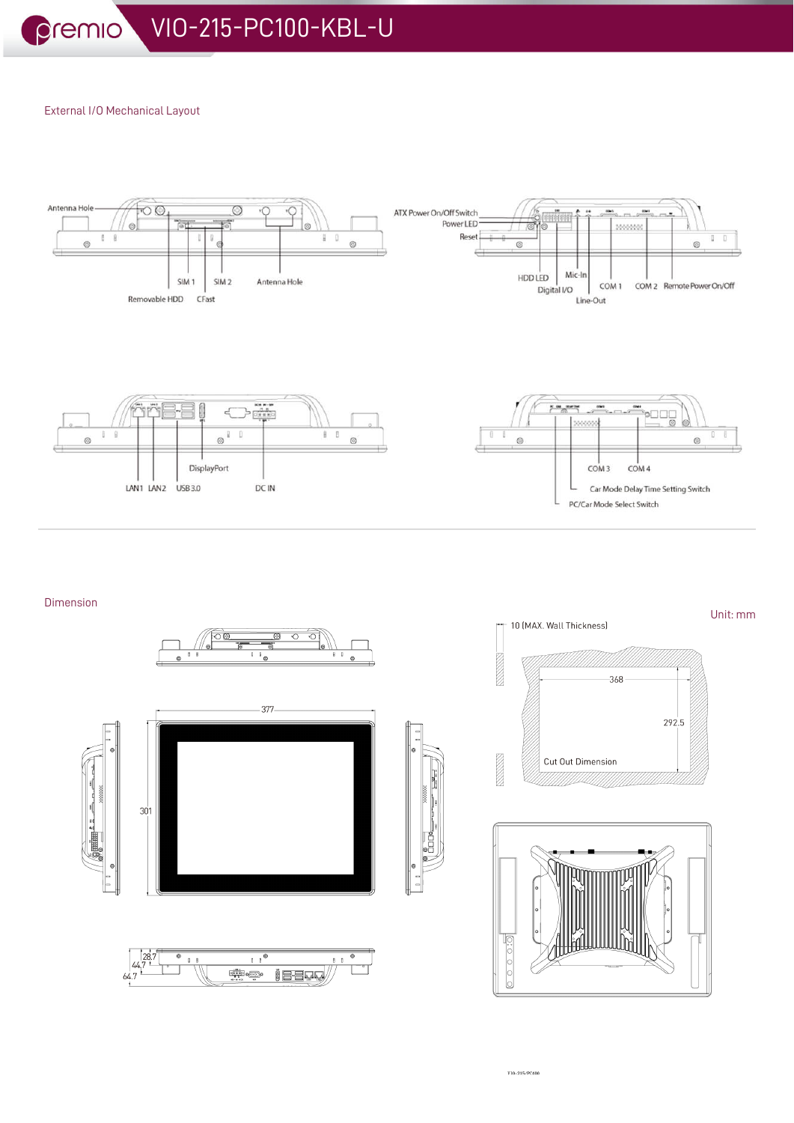# External I/O Mechanical Layout



# Dimension



Unit: mm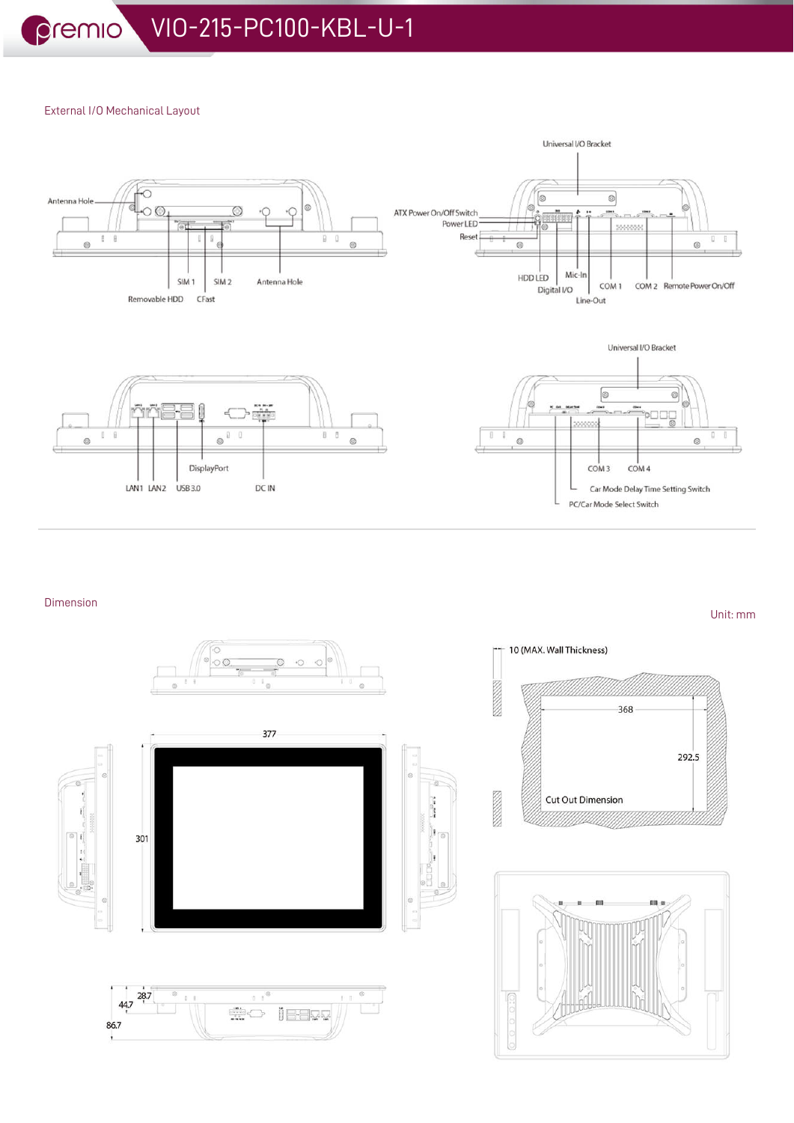# External I/O Mechanical Layout



# Dimension



Unit: mm